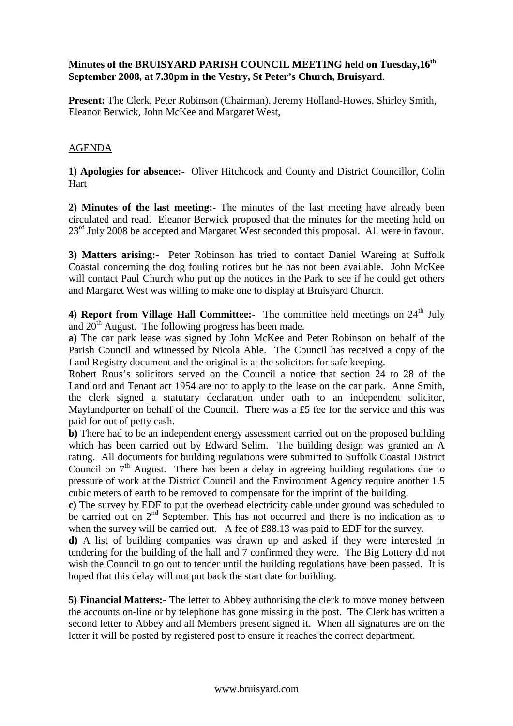## **Minutes of the BRUISYARD PARISH COUNCIL MEETING held on Tuesday,16th September 2008, at 7.30pm in the Vestry, St Peter's Church, Bruisyard**.

**Present:** The Clerk, Peter Robinson (Chairman), Jeremy Holland-Howes, Shirley Smith, Eleanor Berwick, John McKee and Margaret West,

## AGENDA

**1) Apologies for absence:-** Oliver Hitchcock and County and District Councillor, Colin Hart

**2) Minutes of the last meeting:-** The minutes of the last meeting have already been circulated and read. Eleanor Berwick proposed that the minutes for the meeting held on 23<sup>rd</sup> July 2008 be accepted and Margaret West seconded this proposal. All were in favour.

**3) Matters arising:-** Peter Robinson has tried to contact Daniel Wareing at Suffolk Coastal concerning the dog fouling notices but he has not been available. John McKee will contact Paul Church who put up the notices in the Park to see if he could get others and Margaret West was willing to make one to display at Bruisyard Church.

4) Report from Village Hall Committee:- The committee held meetings on 24<sup>th</sup> July and  $20^{th}$  August. The following progress has been made.

**a)** The car park lease was signed by John McKee and Peter Robinson on behalf of the Parish Council and witnessed by Nicola Able. The Council has received a copy of the Land Registry document and the original is at the solicitors for safe keeping.

Robert Rous's solicitors served on the Council a notice that section 24 to 28 of the Landlord and Tenant act 1954 are not to apply to the lease on the car park. Anne Smith, the clerk signed a statutary declaration under oath to an independent solicitor, Maylandporter on behalf of the Council. There was a £5 fee for the service and this was paid for out of petty cash.

**b)** There had to be an independent energy assessment carried out on the proposed building which has been carried out by Edward Selim. The building design was granted an A rating. All documents for building regulations were submitted to Suffolk Coastal District Council on  $7<sup>th</sup>$  August. There has been a delay in agreeing building regulations due to pressure of work at the District Council and the Environment Agency require another 1.5 cubic meters of earth to be removed to compensate for the imprint of the building.

**c)** The survey by EDF to put the overhead electricity cable under ground was scheduled to be carried out on 2<sup>nd</sup> September. This has not occurred and there is no indication as to when the survey will be carried out. A fee of £88.13 was paid to EDF for the survey.

**d)** A list of building companies was drawn up and asked if they were interested in tendering for the building of the hall and 7 confirmed they were. The Big Lottery did not wish the Council to go out to tender until the building regulations have been passed. It is hoped that this delay will not put back the start date for building.

**5) Financial Matters:-** The letter to Abbey authorising the clerk to move money between the accounts on-line or by telephone has gone missing in the post. The Clerk has written a second letter to Abbey and all Members present signed it. When all signatures are on the letter it will be posted by registered post to ensure it reaches the correct department.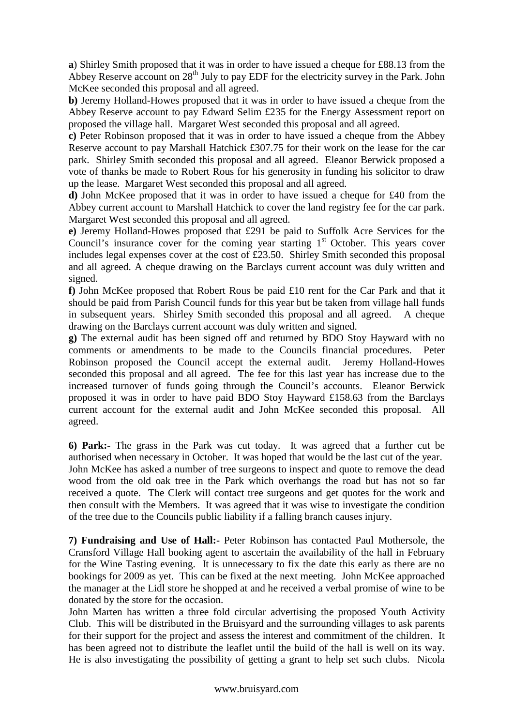**a**) Shirley Smith proposed that it was in order to have issued a cheque for £88.13 from the Abbey Reserve account on  $28<sup>th</sup>$  July to pay EDF for the electricity survey in the Park. John McKee seconded this proposal and all agreed.

**b**) Jeremy Holland-Howes proposed that it was in order to have issued a cheque from the Abbey Reserve account to pay Edward Selim £235 for the Energy Assessment report on proposed the village hall. Margaret West seconded this proposal and all agreed.

**c)** Peter Robinson proposed that it was in order to have issued a cheque from the Abbey Reserve account to pay Marshall Hatchick £307.75 for their work on the lease for the car park. Shirley Smith seconded this proposal and all agreed. Eleanor Berwick proposed a vote of thanks be made to Robert Rous for his generosity in funding his solicitor to draw up the lease. Margaret West seconded this proposal and all agreed.

**d)** John McKee proposed that it was in order to have issued a cheque for £40 from the Abbey current account to Marshall Hatchick to cover the land registry fee for the car park. Margaret West seconded this proposal and all agreed.

**e)** Jeremy Holland-Howes proposed that £291 be paid to Suffolk Acre Services for the Council's insurance cover for the coming year starting  $1<sup>st</sup>$  October. This years cover includes legal expenses cover at the cost of £23.50. Shirley Smith seconded this proposal and all agreed. A cheque drawing on the Barclays current account was duly written and signed.

**f)** John McKee proposed that Robert Rous be paid £10 rent for the Car Park and that it should be paid from Parish Council funds for this year but be taken from village hall funds in subsequent years. Shirley Smith seconded this proposal and all agreed. A cheque drawing on the Barclays current account was duly written and signed.

**g)** The external audit has been signed off and returned by BDO Stoy Hayward with no comments or amendments to be made to the Councils financial procedures. Peter Robinson proposed the Council accept the external audit. Jeremy Holland-Howes seconded this proposal and all agreed. The fee for this last year has increase due to the increased turnover of funds going through the Council's accounts. Eleanor Berwick proposed it was in order to have paid BDO Stoy Hayward £158.63 from the Barclays current account for the external audit and John McKee seconded this proposal. All agreed.

**6) Park:-** The grass in the Park was cut today. It was agreed that a further cut be authorised when necessary in October. It was hoped that would be the last cut of the year. John McKee has asked a number of tree surgeons to inspect and quote to remove the dead wood from the old oak tree in the Park which overhangs the road but has not so far received a quote. The Clerk will contact tree surgeons and get quotes for the work and then consult with the Members. It was agreed that it was wise to investigate the condition of the tree due to the Councils public liability if a falling branch causes injury.

**7) Fundraising and Use of Hall:-** Peter Robinson has contacted Paul Mothersole, the Cransford Village Hall booking agent to ascertain the availability of the hall in February for the Wine Tasting evening. It is unnecessary to fix the date this early as there are no bookings for 2009 as yet. This can be fixed at the next meeting. John McKee approached the manager at the Lidl store he shopped at and he received a verbal promise of wine to be donated by the store for the occasion.

John Marten has written a three fold circular advertising the proposed Youth Activity Club. This will be distributed in the Bruisyard and the surrounding villages to ask parents for their support for the project and assess the interest and commitment of the children. It has been agreed not to distribute the leaflet until the build of the hall is well on its way. He is also investigating the possibility of getting a grant to help set such clubs. Nicola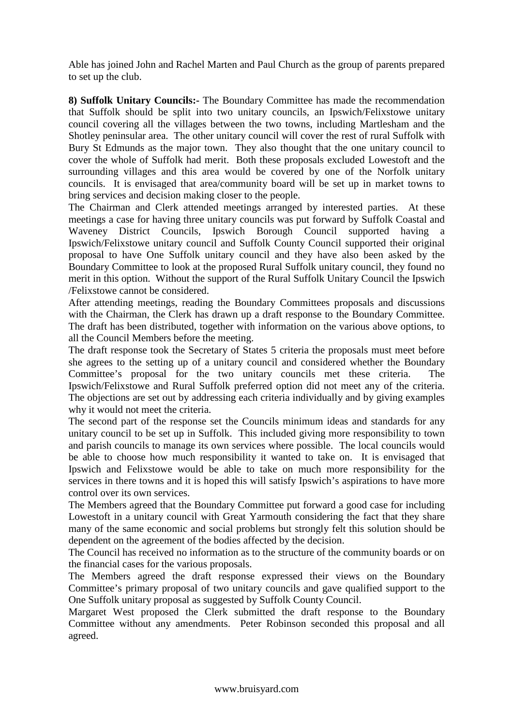Able has joined John and Rachel Marten and Paul Church as the group of parents prepared to set up the club.

**8) Suffolk Unitary Councils:-** The Boundary Committee has made the recommendation that Suffolk should be split into two unitary councils, an Ipswich/Felixstowe unitary council covering all the villages between the two towns, including Martlesham and the Shotley peninsular area. The other unitary council will cover the rest of rural Suffolk with Bury St Edmunds as the major town. They also thought that the one unitary council to cover the whole of Suffolk had merit. Both these proposals excluded Lowestoft and the surrounding villages and this area would be covered by one of the Norfolk unitary councils. It is envisaged that area/community board will be set up in market towns to bring services and decision making closer to the people.

The Chairman and Clerk attended meetings arranged by interested parties. At these meetings a case for having three unitary councils was put forward by Suffolk Coastal and Waveney District Councils, Ipswich Borough Council supported having a Ipswich/Felixstowe unitary council and Suffolk County Council supported their original proposal to have One Suffolk unitary council and they have also been asked by the Boundary Committee to look at the proposed Rural Suffolk unitary council, they found no merit in this option. Without the support of the Rural Suffolk Unitary Council the Ipswich /Felixstowe cannot be considered.

After attending meetings, reading the Boundary Committees proposals and discussions with the Chairman, the Clerk has drawn up a draft response to the Boundary Committee. The draft has been distributed, together with information on the various above options, to all the Council Members before the meeting.

The draft response took the Secretary of States 5 criteria the proposals must meet before she agrees to the setting up of a unitary council and considered whether the Boundary Committee's proposal for the two unitary councils met these criteria. The Ipswich/Felixstowe and Rural Suffolk preferred option did not meet any of the criteria. The objections are set out by addressing each criteria individually and by giving examples why it would not meet the criteria.

The second part of the response set the Councils minimum ideas and standards for any unitary council to be set up in Suffolk. This included giving more responsibility to town and parish councils to manage its own services where possible. The local councils would be able to choose how much responsibility it wanted to take on. It is envisaged that Ipswich and Felixstowe would be able to take on much more responsibility for the services in there towns and it is hoped this will satisfy Ipswich's aspirations to have more control over its own services.

The Members agreed that the Boundary Committee put forward a good case for including Lowestoft in a unitary council with Great Yarmouth considering the fact that they share many of the same economic and social problems but strongly felt this solution should be dependent on the agreement of the bodies affected by the decision.

The Council has received no information as to the structure of the community boards or on the financial cases for the various proposals.

The Members agreed the draft response expressed their views on the Boundary Committee's primary proposal of two unitary councils and gave qualified support to the One Suffolk unitary proposal as suggested by Suffolk County Council.

Margaret West proposed the Clerk submitted the draft response to the Boundary Committee without any amendments. Peter Robinson seconded this proposal and all agreed.